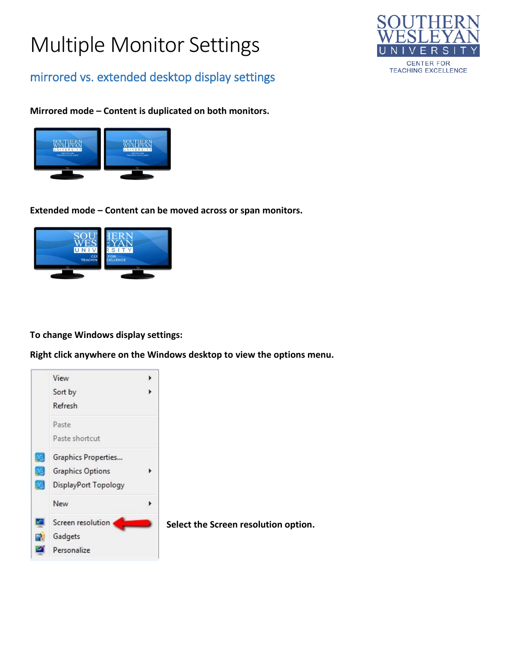# Multiple Monitor Settings



mirrored vs. extended desktop display settings

### **Mirrored mode – Content is duplicated on both monitors.**



**Extended mode – Content can be moved across or span monitors.**



**To change Windows display settings:**

**Right click anywhere on the Windows desktop to view the options menu.**

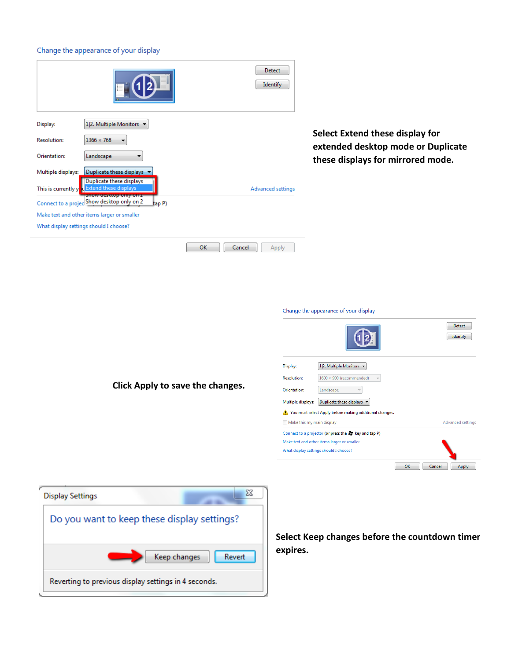#### Change the appearance of your display

| Identify                                                                                                                                                                                                |
|---------------------------------------------------------------------------------------------------------------------------------------------------------------------------------------------------------|
| Select Extend these display for<br>extended desktop mode or Duplicate<br>these displays for mirrored mode.<br><b>Advanced settings</b>                                                                  |
| Apply<br>Change the appearance of your display                                                                                                                                                          |
| Detect<br>Identify<br>1 2. Multiple Monitors v<br>Display:<br>$1600 \times 900$ (recommended)<br><b>Resolution:</b><br>Orientation:<br>Landscape<br>Multiple displays: Duplicate these displays $\star$ |
|                                                                                                                                                                                                         |

| <b>Display Settings</b>                              | x |
|------------------------------------------------------|---|
| Do you want to keep these display settings?          |   |
| Keep changes<br>Revert                               |   |
| Reverting to previous display settings in 4 seconds. |   |

**Select Keep changes before the countdown timer expires.**

 $\bigwedge$  You must select Apply before making additional changes.

Connect to a projector (or press the AT key and tap P) Make text and other items larger or smaller What display settings should I choose?

 $\Box$  Make this my main display

 $\begin{tabular}{|c|c|} \hline \textbf{Detect} & \textbf{0} & \textbf{0} & \textbf{0} \\ \hline \end{tabular}$  $\begin{tabular}{|c|c|} \hline \quad \quad \text{Identity} \quad \quad \quad \end{tabular}$ 

Advanced settings

OK Cancel Apply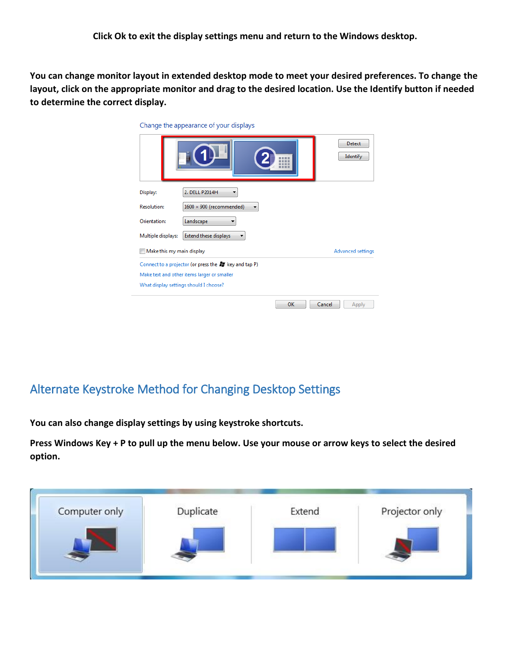**You can change monitor layout in extended desktop mode to meet your desired preferences. To change the layout, click on the appropriate monitor and drag to the desired location. Use the Identify button if needed to determine the correct display.**

| Change the appearance of your displays                 |                           |  |
|--------------------------------------------------------|---------------------------|--|
|                                                        | <b>Detect</b><br>Identify |  |
| 2. DELL P2014H<br>Display:                             |                           |  |
| <b>Resolution:</b><br>$1600 \times 900$ (recommended)  |                           |  |
| Orientation:<br>Landscape                              |                           |  |
| Extend these displays<br>Multiple displays:            |                           |  |
| Make this my main display                              | Advanced settings         |  |
| Connect to a projector (or press the AT key and tap P) |                           |  |
| Make text and other items larger or smaller            |                           |  |
| What display settings should I choose?                 |                           |  |
|                                                        | OK<br>Cancel<br>Apply     |  |

## Alternate Keystroke Method for Changing Desktop Settings

**You can also change display settings by using keystroke shortcuts.**

**Press Windows Key + P to pull up the menu below. Use your mouse or arrow keys to select the desired option.**